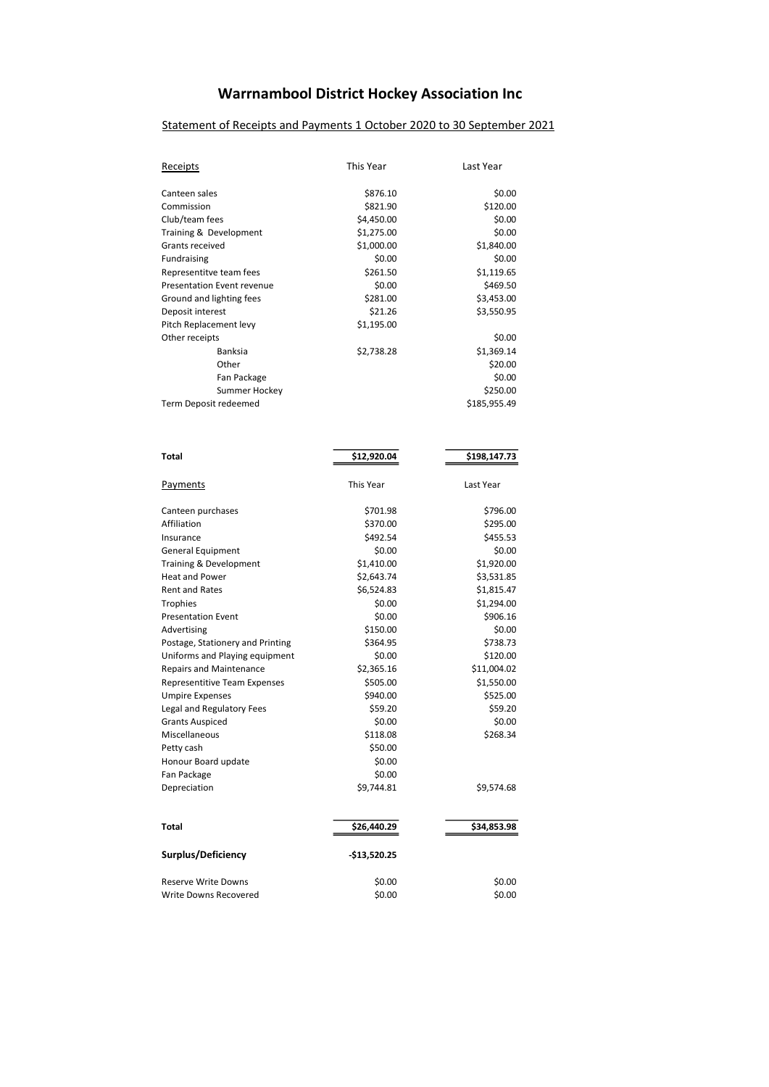# Warrnambool District Hockey Association Inc

# Statement of Receipts and Payments 1 October 2020 to 30 September 2021

| <b>Receipts</b>                  | This Year    | Last Year    |  |
|----------------------------------|--------------|--------------|--|
| Canteen sales                    | \$876.10     | \$0.00       |  |
| Commission                       | \$821.90     | \$120.00     |  |
| Club/team fees                   | \$4,450.00   | \$0.00       |  |
| Training & Development           | \$1,275.00   | \$0.00       |  |
| Grants received                  | \$1,000.00   | \$1,840.00   |  |
| Fundraising                      | \$0.00       | \$0.00       |  |
| Representitve team fees          | \$261.50     | \$1,119.65   |  |
| Presentation Event revenue       | \$0.00       | \$469.50     |  |
| Ground and lighting fees         | \$281.00     | \$3,453.00   |  |
| Deposit interest                 | \$21.26      | \$3,550.95   |  |
| Pitch Replacement levy           | \$1,195.00   |              |  |
| Other receipts                   |              | \$0.00       |  |
| Banksia                          | \$2,738.28   | \$1,369.14   |  |
| Other                            |              | \$20.00      |  |
| Fan Package                      |              | \$0.00       |  |
| Summer Hockey                    |              | \$250.00     |  |
| Term Deposit redeemed            |              | \$185,955.49 |  |
|                                  |              |              |  |
| Total                            | \$12,920.04  | \$198,147.73 |  |
| <b>Payments</b>                  | This Year    | Last Year    |  |
| Canteen purchases                | \$701.98     | \$796.00     |  |
| Affiliation                      | \$370.00     | \$295.00     |  |
| Insurance                        | \$492.54     | \$455.53     |  |
| General Equipment                | \$0.00       | \$0.00       |  |
| Training & Development           | \$1,410.00   | \$1,920.00   |  |
| <b>Heat and Power</b>            | \$2,643.74   | \$3,531.85   |  |
| Rent and Rates                   | \$6,524.83   | \$1,815.47   |  |
| Trophies                         | \$0.00       | \$1,294.00   |  |
| <b>Presentation Event</b>        | \$0.00       | \$906.16     |  |
| Advertising                      | \$150.00     | \$0.00       |  |
| Postage, Stationery and Printing | \$364.95     | \$738.73     |  |
| Uniforms and Playing equipment   | \$0.00       | \$120.00     |  |
| Repairs and Maintenance          | \$2,365.16   | \$11,004.02  |  |
| Representitive Team Expenses     | \$505.00     | \$1,550.00   |  |
| <b>Umpire Expenses</b>           | \$940.00     | \$525.00     |  |
| Legal and Regulatory Fees        | \$59.20      | \$59.20      |  |
| <b>Grants Auspiced</b>           | \$0.00       | \$0.00       |  |
| Miscellaneous                    | \$118.08     | \$268.34     |  |
| Petty cash                       | \$50.00      |              |  |
| Honour Board update              | \$0.00       |              |  |
| Fan Package                      | \$0.00       |              |  |
| Depreciation                     | \$9,744.81   | \$9,574.68   |  |
| Total                            | \$26,440.29  | \$34,853.98  |  |
|                                  |              |              |  |
| Surplus/Deficiency               | -\$13,520.25 |              |  |
| <b>Reserve Write Downs</b>       | \$0.00       | \$0.00       |  |
| Write Downs Recovered            | \$0.00       | \$0.00       |  |
|                                  |              |              |  |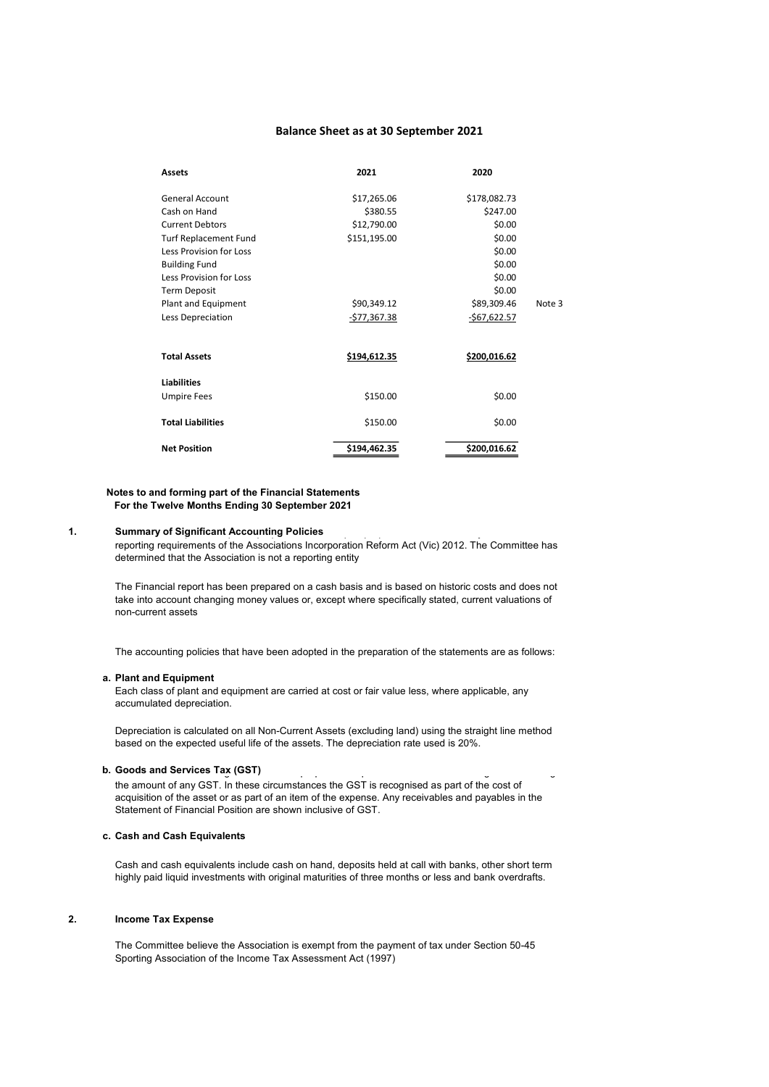### Balance Sheet as at 30 September 2021

| <b>Assets</b>                | 2021                  | 2020                |        |
|------------------------------|-----------------------|---------------------|--------|
| General Account              | \$17,265.06           | \$178,082.73        |        |
| Cash on Hand                 | \$380.55              | \$247.00            |        |
| <b>Current Debtors</b>       | \$12,790.00<br>\$0.00 |                     |        |
| <b>Turf Replacement Fund</b> | \$151,195.00          | \$0.00              |        |
| Less Provision for Loss      |                       | \$0.00              |        |
| <b>Building Fund</b>         |                       | \$0.00              |        |
| Less Provision for Loss      |                       | \$0.00              |        |
| <b>Term Deposit</b>          |                       | \$0.00              |        |
| Plant and Equipment          | \$90,349.12           | \$89,309.46         | Note 3 |
| Less Depreciation            | <u>-\$77,367.38</u>   | $-$ \$67,622.57     |        |
| <b>Total Assets</b>          | \$194,612.35          | <u>\$200,016.62</u> |        |
| <b>Liabilities</b>           |                       |                     |        |
| <b>Umpire Fees</b>           | \$150.00              | \$0.00              |        |
| <b>Total Liabilities</b>     | \$150.00<br>\$0.00    |                     |        |
| <b>Net Position</b>          | \$194,462.35          | \$200,016.62        |        |

#### Notes to and forming part of the Financial Statements For the Twelve Months Ending 30 September 2021

## 1. Summary of Significant Accounting Policies<br>
and the financial report prepared in order to satisfy the financial report prepared in the financial report of

reporting requirements of the Associations Incorporation Reform Act (Vic) 2012. The Committee has determined that the Association is not a reporting entity

The Financial report has been prepared on a cash basis and is based on historic costs and does not take into account changing money values or, except where specifically stated, current valuations of non-current assets

The accounting policies that have been adopted in the preparation of the statements are as follows:

#### a. Plant and Equipment

Each class of plant and equipment are carried at cost or fair value less, where applicable, any accumulated depreciation.

Depreciation is calculated on all Non-Current Assets (excluding land) using the straight line method based on the expected useful life of the assets. The depreciation rate used is 20%.

# **The Association is not registered for Association is not registered for GST purposes. Assets are recognised in**

the amount of any GST. In these circumstances the GST is recognised as part of the cost of acquisition of the asset or as part of an item of the expense. Any receivables and payables in the Statement of Financial Position are shown inclusive of GST.

#### c. Cash and Cash Equivalents

Cash and cash equivalents include cash on hand, deposits held at call with banks, other short term highly paid liquid investments with original maturities of three months or less and bank overdrafts.

#### 2. Income Tax Expense

The Committee believe the Association is exempt from the payment of tax under Section 50-45 Sporting Association of the Income Tax Assessment Act (1997)